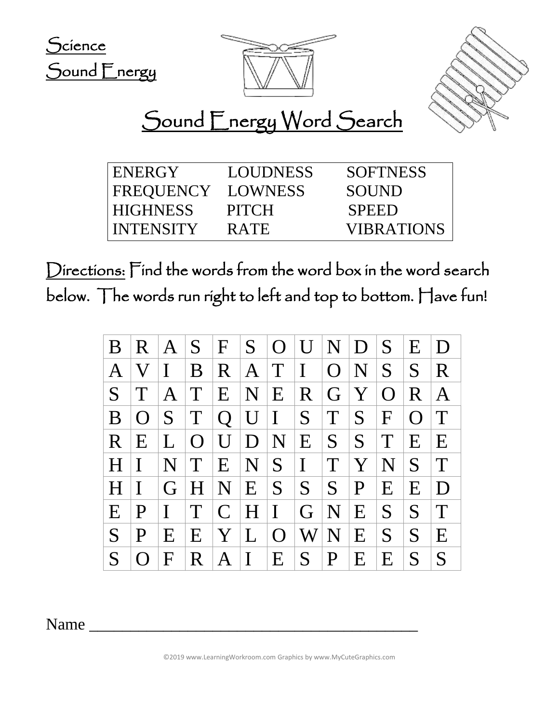





## Sound Energy Word Search

| ENERGY           | <b>LOUDNESS</b> | <b>SOFTNESS</b>   |
|------------------|-----------------|-------------------|
| FREQUENCY        | LOWNESS         | <b>SOUND</b>      |
| <b>HIGHNESS</b>  | <b>PITCH</b>    | <b>SPEED</b>      |
| <b>INTENSITY</b> | <b>RATE</b>     | <b>VIBRATIONS</b> |
|                  |                 |                   |

Directions: Find the words from the word box in the word search below. The words run right to left and top to bottom. Have fun!

| B            | $\mathbf R$    | $\mathbf{A}$ |          |               |              | $S$  F  S  O  U |              |                | N D             | $S_{\perp}$  | E | D <sub>1</sub>  |
|--------------|----------------|--------------|----------|---------------|--------------|-----------------|--------------|----------------|-----------------|--------------|---|-----------------|
| $\mathbf{A}$ | V              | $\bf{I}$     | B        | $\mathbf R$   | A            | $\mathbf T$     | $\bf{I}$     | $\overline{O}$ | $N_{\rm}$       | $S_{-}$      | S | $\mathbf{R}$    |
| S            |                | A            | T        | E             | $\mathbf N$  | E               | $\mathbf{R}$ | G Y            |                 | $\Omega$     | R | $\mathbf{A}$    |
| B            | $\overline{O}$ | S            | T        | Q             | $\mathbf U$  | $\mathbf{I}$    | S            | T              | S               | $\mathbf{F}$ | O | $\mathbf T$     |
| $\mathbf R$  | E              | $\mathbf{L}$ | $\Omega$ | $\mathbf U$   | D            | $\mathbf N$     | E            | $S \vert$      | S               | T            | E | E               |
| H            | I              | N            | T        | E             | N S          |                 | $\mathbf{I}$ | $\mathbf T$    | Y               | N            | S | T               |
| H            |                | G            | H        | N             | E            | S               | S            | S              | $\mathbf{P}$    | E            | E | D               |
| E            | $\mathbf{P}$   | $\bf{I}$     | T        | $\mathcal{C}$ | $\mathbf{H}$ | $\bf I$         |              | G N            | $E_{\parallel}$ | $S_{-}$      | S | T               |
| S            | P              | E            | E        | Y             | $\Gamma$     | $\Omega$        | W            | N              | E               | $S_{-}$      | S | $E_{\parallel}$ |
| S            |                |              | R        | A             | $\mathbf I$  | $E_{\parallel}$ | $S_{-}$      | $\mathbf{P}$   | E               | E            | S | S               |

Name\_

©2019 www.LearningWorkroom.com Graphics by www.MyCuteGraphics.com